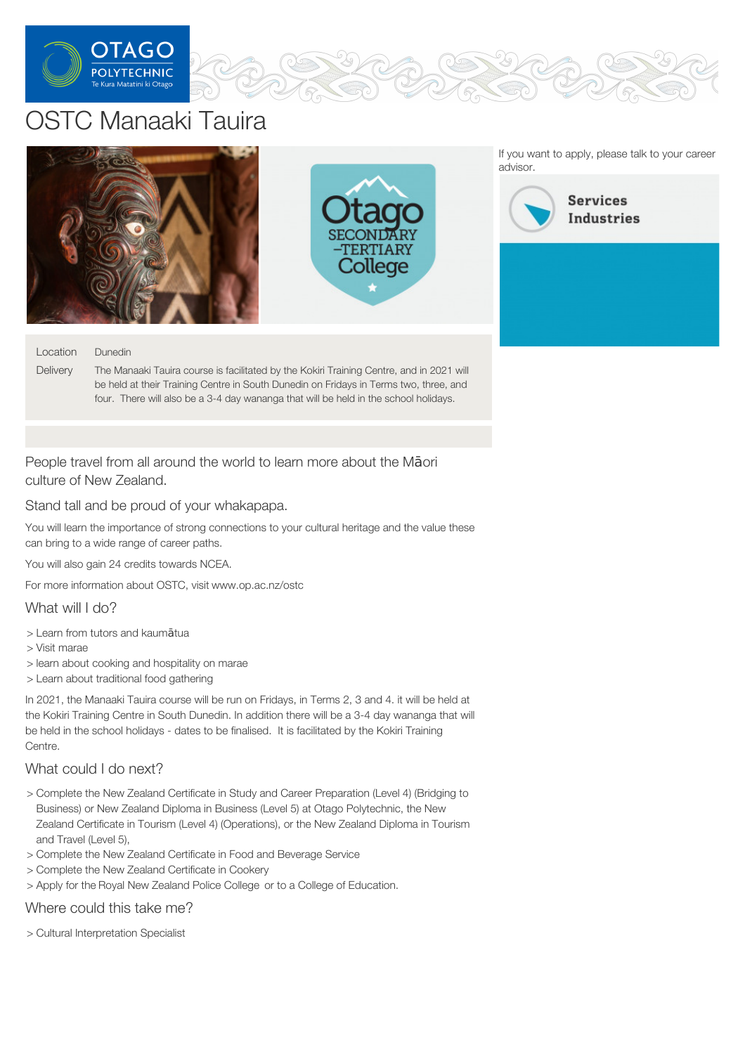

# OSTC Manaaki Tauira



#### Location Dunedin

**Delivery** The Manaaki Tauira course is facilitated by the Kokiri Training Centre, and in 2021 will be held at their Training Centre in South Dunedin on Fridays in Terms two, three, and four. There will also be a 3-4 day wananga that will be held in the school holidays.

## People travel from all around the world to learn more about the Māori culture of New Zealand.

Stand tall and be proud of your whakapapa.

You will learn the importance of strong connections to your cultural heritage and the value these can bring to a wide range of career paths.

You will also gain 24 credits towards NCEA.

For more information about OSTC, visit www.op.ac.nz/ostc

What will I do?

- > Learn from tutors and kaumātua
- > Visit marae
- > learn about cooking and hospitality on marae
- > Learn about traditional food gathering

In 2021, the Manaaki Tauira course will be run on Fridays, in Terms 2, 3 and 4. it will be held at the Kokiri Training Centre in South Dunedin. In addition there will be a 3-4 day wananga that will be held in the school holidays - dates to be finalised. It is facilitated by the Kokiri Training Centre.

### What could I do next?

- > Complete the New Zealand Certificate in Study and Career Preparation (Level 4) (Bridging to Business) or New Zealand Diploma in Business (Level 5) at Otago Polytechnic, the New Zealand Certificate in Tourism (Level 4) (Operations), or the New Zealand Diploma in Tourism and Travel (Level 5),
- > Complete the New Zealand Certificate in Food and Beverage Service
- > Complete the New Zealand Certificate in Cookery
- > Apply for the Royal New Zealand Police College or to a College of Education.

#### Where could this take me?

> Cultural Interpretation Specialist